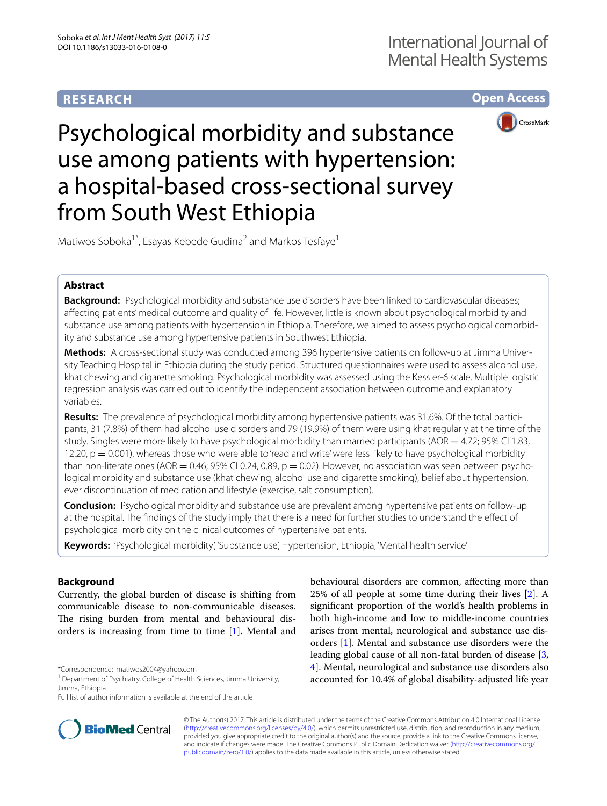# **RESEARCH**

**Open Access**



Psychological morbidity and substance use among patients with hypertension: a hospital-based cross-sectional survey from South West Ethiopia

Matiwos Soboka<sup>1\*</sup>, Esayas Kebede Gudina<sup>2</sup> and Markos Tesfaye<sup>1</sup>

## **Abstract**

**Background:** Psychological morbidity and substance use disorders have been linked to cardiovascular diseases; affecting patients' medical outcome and quality of life. However, little is known about psychological morbidity and substance use among patients with hypertension in Ethiopia. Therefore, we aimed to assess psychological comorbidity and substance use among hypertensive patients in Southwest Ethiopia.

**Methods:** A cross-sectional study was conducted among 396 hypertensive patients on follow-up at Jimma University Teaching Hospital in Ethiopia during the study period. Structured questionnaires were used to assess alcohol use, khat chewing and cigarette smoking. Psychological morbidity was assessed using the Kessler-6 scale. Multiple logistic regression analysis was carried out to identify the independent association between outcome and explanatory variables.

**Results:** The prevalence of psychological morbidity among hypertensive patients was 31.6%. Of the total participants, 31 (7.8%) of them had alcohol use disorders and 79 (19.9%) of them were using khat regularly at the time of the study. Singles were more likely to have psychological morbidity than married participants (AOR  $=$  4.72; 95% CI 1.83, 12.20,  $p = 0.001$ ), whereas those who were able to 'read and write' were less likely to have psychological morbidity than non-literate ones (AOR = 0.46; 95% CI 0.24, 0.89,  $p = 0.02$ ). However, no association was seen between psychological morbidity and substance use (khat chewing, alcohol use and cigarette smoking), belief about hypertension, ever discontinuation of medication and lifestyle (exercise, salt consumption).

**Conclusion:** Psychological morbidity and substance use are prevalent among hypertensive patients on follow-up at the hospital. The findings of the study imply that there is a need for further studies to understand the effect of psychological morbidity on the clinical outcomes of hypertensive patients.

**Keywords:** 'Psychological morbidity', 'Substance use', Hypertension, Ethiopia, 'Mental health service'

## **Background**

Currently, the global burden of disease is shifting from communicable disease to non-communicable diseases. The rising burden from mental and behavioural disorders is increasing from time to time [[1\]](#page-6-0). Mental and

\*Correspondence: matiwos2004@yahoo.com





© The Author(s) 2017. This article is distributed under the terms of the Creative Commons Attribution 4.0 International License [\(http://creativecommons.org/licenses/by/4.0/\)](http://creativecommons.org/licenses/by/4.0/), which permits unrestricted use, distribution, and reproduction in any medium, provided you give appropriate credit to the original author(s) and the source, provide a link to the Creative Commons license, and indicate if changes were made. The Creative Commons Public Domain Dedication waiver ([http://creativecommons.org/](http://creativecommons.org/publicdomain/zero/1.0/) [publicdomain/zero/1.0/](http://creativecommons.org/publicdomain/zero/1.0/)) applies to the data made available in this article, unless otherwise stated.

<sup>&</sup>lt;sup>1</sup> Department of Psychiatry, College of Health Sciences, Jimma University, Jimma, Ethiopia

Full list of author information is available at the end of the article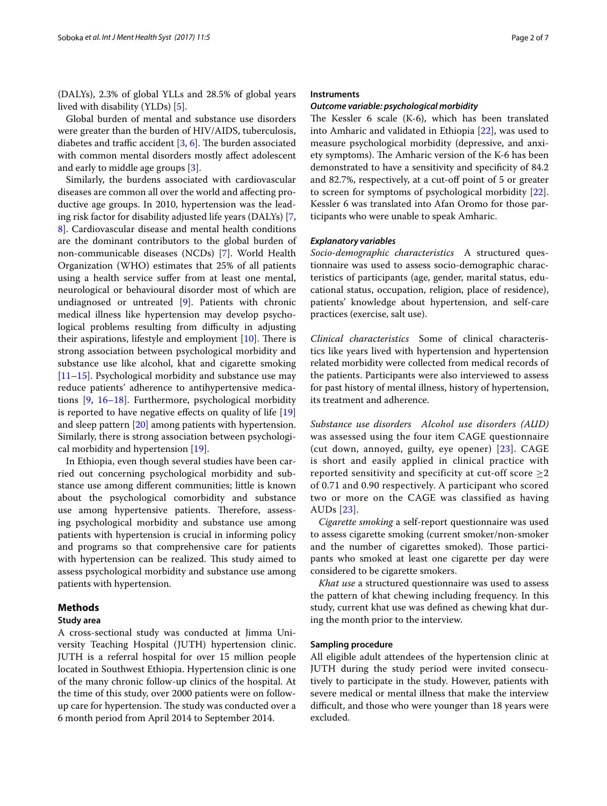(DALYs), 2.3% of global YLLs and 28.5% of global years lived with disability (YLDs) [\[5](#page-6-4)].

Global burden of mental and substance use disorders were greater than the burden of HIV/AIDS, tuberculosis, diabetes and traffic accident [[3,](#page-6-2) [6](#page-6-5)]. The burden associated with common mental disorders mostly affect adolescent and early to middle age groups [\[3](#page-6-2)].

Similarly, the burdens associated with cardiovascular diseases are common all over the world and affecting productive age groups. In 2010, hypertension was the leading risk factor for disability adjusted life years (DALYs) [\[7](#page-6-6), [8\]](#page-6-7). Cardiovascular disease and mental health conditions are the dominant contributors to the global burden of non-communicable diseases (NCDs) [[7\]](#page-6-6). World Health Organization (WHO) estimates that 25% of all patients using a health service suffer from at least one mental, neurological or behavioural disorder most of which are undiagnosed or untreated [\[9](#page-6-8)]. Patients with chronic medical illness like hypertension may develop psychological problems resulting from difficulty in adjusting their aspirations, lifestyle and employment [\[10](#page-6-9)]. There is strong association between psychological morbidity and substance use like alcohol, khat and cigarette smoking [[11–](#page-6-10)[15](#page-6-11)]. Psychological morbidity and substance use may reduce patients' adherence to antihypertensive medications [\[9](#page-6-8), [16–](#page-6-12)[18\]](#page-6-13). Furthermore, psychological morbidity is reported to have negative effects on quality of life [[19](#page-6-14)] and sleep pattern [[20\]](#page-6-15) among patients with hypertension. Similarly, there is strong association between psychological morbidity and hypertension [\[19](#page-6-14)].

In Ethiopia, even though several studies have been carried out concerning psychological morbidity and substance use among different communities; little is known about the psychological comorbidity and substance use among hypertensive patients. Therefore, assessing psychological morbidity and substance use among patients with hypertension is crucial in informing policy and programs so that comprehensive care for patients with hypertension can be realized. This study aimed to assess psychological morbidity and substance use among patients with hypertension.

## **Methods**

## **Study area**

A cross-sectional study was conducted at Jimma University Teaching Hospital (JUTH) hypertension clinic. JUTH is a referral hospital for over 15 million people located in Southwest Ethiopia. Hypertension clinic is one of the many chronic follow-up clinics of the hospital. At the time of this study, over 2000 patients were on followup care for hypertension. The study was conducted over a 6 month period from April 2014 to September 2014.

#### **Instruments**

#### *Outcome variable: psychological morbidity*

The Kessler 6 scale (K-6), which has been translated into Amharic and validated in Ethiopia [[22\]](#page-6-16), was used to measure psychological morbidity (depressive, and anxiety symptoms). The Amharic version of the K-6 has been demonstrated to have a sensitivity and specificity of 84.2 and 82.7%, respectively, at a cut-off point of 5 or greater to screen for symptoms of psychological morbidity [\[22](#page-6-16)]. Kessler 6 was translated into Afan Oromo for those participants who were unable to speak Amharic.

#### *Explanatory variables*

*Socio‑demographic characteristics* A structured questionnaire was used to assess socio-demographic characteristics of participants (age, gender, marital status, educational status, occupation, religion, place of residence), patients' knowledge about hypertension, and self-care practices (exercise, salt use).

*Clinical characteristics* Some of clinical characteristics like years lived with hypertension and hypertension related morbidity were collected from medical records of the patients. Participants were also interviewed to assess for past history of mental illness, history of hypertension, its treatment and adherence.

*Substance use disorders Alcohol use disorders (AUD)* was assessed using the four item CAGE questionnaire (cut down, annoyed, guilty, eye opener) [[23\]](#page-6-17). CAGE is short and easily applied in clinical practice with reported sensitivity and specificity at cut-off score  $\geq 2$ of 0.71 and 0.90 respectively. A participant who scored two or more on the CAGE was classified as having AUDs [\[23\]](#page-6-17).

*Cigarette smoking* a self-report questionnaire was used to assess cigarette smoking (current smoker/non-smoker and the number of cigarettes smoked). Those participants who smoked at least one cigarette per day were considered to be cigarette smokers.

*Khat use* a structured questionnaire was used to assess the pattern of khat chewing including frequency. In this study, current khat use was defined as chewing khat during the month prior to the interview.

## **Sampling procedure**

All eligible adult attendees of the hypertension clinic at JUTH during the study period were invited consecutively to participate in the study. However, patients with severe medical or mental illness that make the interview difficult, and those who were younger than 18 years were excluded.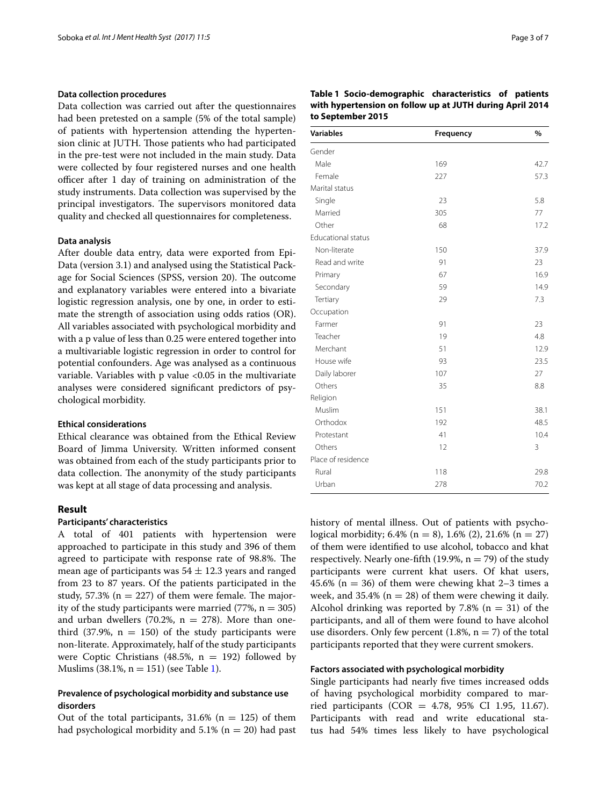## **Data collection procedures**

Data collection was carried out after the questionnaires had been pretested on a sample (5% of the total sample) of patients with hypertension attending the hypertension clinic at JUTH. Those patients who had participated in the pre-test were not included in the main study. Data were collected by four registered nurses and one health officer after 1 day of training on administration of the study instruments. Data collection was supervised by the principal investigators. The supervisors monitored data quality and checked all questionnaires for completeness.

## **Data analysis**

After double data entry, data were exported from Epi-Data (version 3.1) and analysed using the Statistical Package for Social Sciences (SPSS, version 20). The outcome and explanatory variables were entered into a bivariate logistic regression analysis, one by one, in order to estimate the strength of association using odds ratios (OR). All variables associated with psychological morbidity and with a p value of less than 0.25 were entered together into a multivariable logistic regression in order to control for potential confounders. Age was analysed as a continuous variable. Variables with p value <0.05 in the multivariate analyses were considered significant predictors of psychological morbidity.

## **Ethical considerations**

Ethical clearance was obtained from the Ethical Review Board of Jimma University. Written informed consent was obtained from each of the study participants prior to data collection. The anonymity of the study participants was kept at all stage of data processing and analysis.

## **Result**

## **Participants' characteristics**

A total of 401 patients with hypertension were approached to participate in this study and 396 of them agreed to participate with response rate of 98.8%. The mean age of participants was  $54 \pm 12.3$  years and ranged from 23 to 87 years. Of the patients participated in the study, 57.3% ( $n = 227$ ) of them were female. The majority of the study participants were married (77%,  $n = 305$ ) and urban dwellers (70.2%,  $n = 278$ ). More than onethird (37.9%,  $n = 150$ ) of the study participants were non-literate. Approximately, half of the study participants were Coptic Christians (48.5%,  $n = 192$ ) followed by Muslims (38.1%,  $n = 151$ ) (see Table [1\)](#page-2-0).

## **Prevalence of psychological morbidity and substance use disorders**

Out of the total participants,  $31.6\%$  (n = 125) of them had psychological morbidity and  $5.1\%$  (n = 20) had past

<span id="page-2-0"></span>

| Table 1 Socio-demographic characteristics of patients    |  |  |
|----------------------------------------------------------|--|--|
| with hypertension on follow up at JUTH during April 2014 |  |  |
| to September 2015                                        |  |  |

| <b>Variables</b>          | Frequency | %    |
|---------------------------|-----------|------|
| Gender                    |           |      |
| Male                      | 169       | 42.7 |
| Female                    | 227       | 57.3 |
| Marital status            |           |      |
| Single                    | 23        | 5.8  |
| Married                   | 305       | 77   |
| Other                     | 68        | 17.2 |
| <b>Educational status</b> |           |      |
| Non-literate              | 150       | 37.9 |
| Read and write            | 91        | 23   |
| Primary                   | 67        | 16.9 |
| Secondary                 | 59        | 14.9 |
| Tertiary                  | 29        | 7.3  |
| Occupation                |           |      |
| Farmer                    | 91        | 23   |
| Teacher                   | 19        | 4.8  |
| Merchant                  | 51        | 12.9 |
| House wife                | 93        | 23.5 |
| Daily laborer             | 107       | 27   |
| Others                    | 35        | 8.8  |
| Religion                  |           |      |
| Muslim                    | 151       | 38.1 |
| Orthodox                  | 192       | 48.5 |
| Protestant                | 41        | 10.4 |
| Others                    | 12        | 3    |
| Place of residence        |           |      |
| Rural                     | 118       | 29.8 |
| Urban                     | 278       | 70.2 |

history of mental illness. Out of patients with psychological morbidity;  $6.4\%$  (n = 8),  $1.6\%$  (2),  $21.6\%$  (n = 27) of them were identified to use alcohol, tobacco and khat respectively. Nearly one-fifth (19.9%,  $n = 79$ ) of the study participants were current khat users. Of khat users, 45.6% ( $n = 36$ ) of them were chewing khat 2-3 times a week, and 35.4% ( $n = 28$ ) of them were chewing it daily. Alcohol drinking was reported by 7.8% ( $n = 31$ ) of the participants, and all of them were found to have alcohol use disorders. Only few percent  $(1.8\%, n = 7)$  of the total participants reported that they were current smokers.

#### **Factors associated with psychological morbidity**

Single participants had nearly five times increased odds of having psychological morbidity compared to married participants (COR =  $4.78$ , 95% CI 1.95, 11.67). Participants with read and write educational status had 54% times less likely to have psychological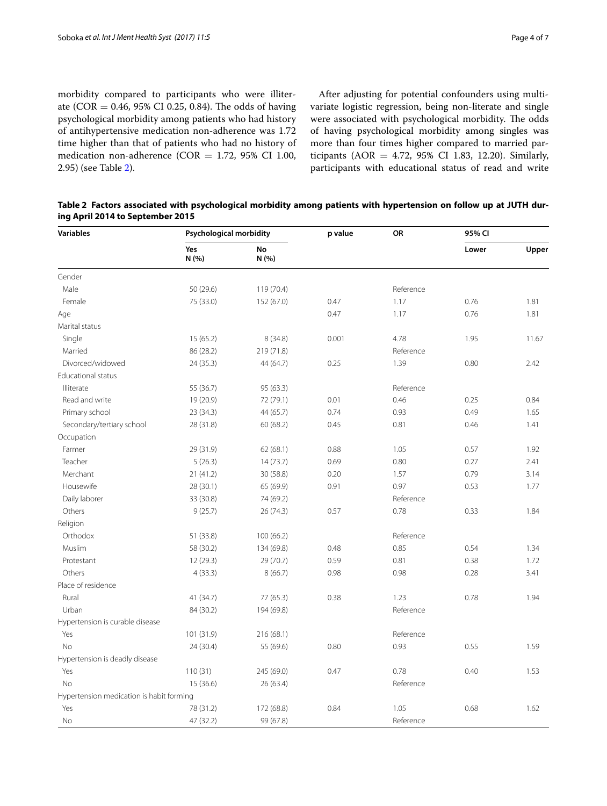morbidity compared to participants who were illiterate (COR = 0.46, 95% CI 0.25, 0.84). The odds of having psychological morbidity among patients who had history of antihypertensive medication non-adherence was 1.72 time higher than that of patients who had no history of medication non-adherence (COR =  $1.72$ , 95% CI 1.00, 2.95) (see Table [2\)](#page-3-0).

After adjusting for potential confounders using multivariate logistic regression, being non-literate and single were associated with psychological morbidity. The odds of having psychological morbidity among singles was more than four times higher compared to married participants ( $AOR = 4.72$ ,  $95\%$  CI 1.83, 12.20). Similarly, participants with educational status of read and write

<span id="page-3-0"></span>

| Table 2 Factors associated with psychological morbidity among patients with hypertension on follow up at JUTH dur- |  |  |
|--------------------------------------------------------------------------------------------------------------------|--|--|
| ing April 2014 to September 2015                                                                                   |  |  |

| <b>Variables</b>                         | Psychological morbidity |             | p value | OR        | 95% CI |       |
|------------------------------------------|-------------------------|-------------|---------|-----------|--------|-------|
|                                          | Yes<br>N (%)            | No<br>N (%) |         |           | Lower  | Upper |
| Gender                                   |                         |             |         |           |        |       |
| Male                                     | 50 (29.6)               | 119 (70.4)  |         | Reference |        |       |
| Female                                   | 75 (33.0)               | 152 (67.0)  | 0.47    | 1.17      | 0.76   | 1.81  |
| Age                                      |                         |             | 0.47    | 1.17      | 0.76   | 1.81  |
| Marital status                           |                         |             |         |           |        |       |
| Single                                   | 15(65.2)                | 8(34.8)     | 0.001   | 4.78      | 1.95   | 11.67 |
| Married                                  | 86 (28.2)               | 219 (71.8)  |         | Reference |        |       |
| Divorced/widowed                         | 24 (35.3)               | 44 (64.7)   | 0.25    | 1.39      | 0.80   | 2.42  |
| Educational status                       |                         |             |         |           |        |       |
| Illiterate                               | 55 (36.7)               | 95 (63.3)   |         | Reference |        |       |
| Read and write                           | 19 (20.9)               | 72 (79.1)   | 0.01    | 0.46      | 0.25   | 0.84  |
| Primary school                           | 23 (34.3)               | 44 (65.7)   | 0.74    | 0.93      | 0.49   | 1.65  |
| Secondary/tertiary school                | 28 (31.8)               | 60 (68.2)   | 0.45    | 0.81      | 0.46   | 1.41  |
| Occupation                               |                         |             |         |           |        |       |
| Farmer                                   | 29 (31.9)               | 62(68.1)    | 0.88    | 1.05      | 0.57   | 1.92  |
| Teacher                                  | 5(26.3)                 | 14(73.7)    | 0.69    | 0.80      | 0.27   | 2.41  |
| Merchant                                 | 21(41.2)                | 30 (58.8)   | 0.20    | 1.57      | 0.79   | 3.14  |
| Housewife                                | 28 (30.1)               | 65 (69.9)   | 0.91    | 0.97      | 0.53   | 1.77  |
| Daily laborer                            | 33 (30.8)               | 74 (69.2)   |         | Reference |        |       |
| Others                                   | 9(25.7)                 | 26 (74.3)   | 0.57    | 0.78      | 0.33   | 1.84  |
| Religion                                 |                         |             |         |           |        |       |
| Orthodox                                 | 51 (33.8)               | 100(66.2)   |         | Reference |        |       |
| Muslim                                   | 58 (30.2)               | 134 (69.8)  | 0.48    | 0.85      | 0.54   | 1.34  |
| Protestant                               | 12 (29.3)               | 29 (70.7)   | 0.59    | 0.81      | 0.38   | 1.72  |
| Others                                   | 4(33.3)                 | 8(66.7)     | 0.98    | 0.98      | 0.28   | 3.41  |
| Place of residence                       |                         |             |         |           |        |       |
| Rural                                    | 41 (34.7)               | 77 (65.3)   | 0.38    | 1.23      | 0.78   | 1.94  |
| Urban                                    | 84 (30.2)               | 194 (69.8)  |         | Reference |        |       |
| Hypertension is curable disease          |                         |             |         |           |        |       |
| Yes                                      | 101 (31.9)              | 216 (68.1)  |         | Reference |        |       |
| <b>No</b>                                | 24 (30.4)               | 55 (69.6)   | 0.80    | 0.93      | 0.55   | 1.59  |
| Hypertension is deadly disease           |                         |             |         |           |        |       |
| Yes                                      | 110(31)                 | 245 (69.0)  | 0.47    | 0.78      | 0.40   | 1.53  |
| No                                       | 15 (36.6)               | 26 (63.4)   |         | Reference |        |       |
| Hypertension medication is habit forming |                         |             |         |           |        |       |
| Yes                                      | 78 (31.2)               | 172 (68.8)  | 0.84    | 1.05      | 0.68   | 1.62  |
| No                                       | 47 (32.2)               | 99 (67.8)   |         | Reference |        |       |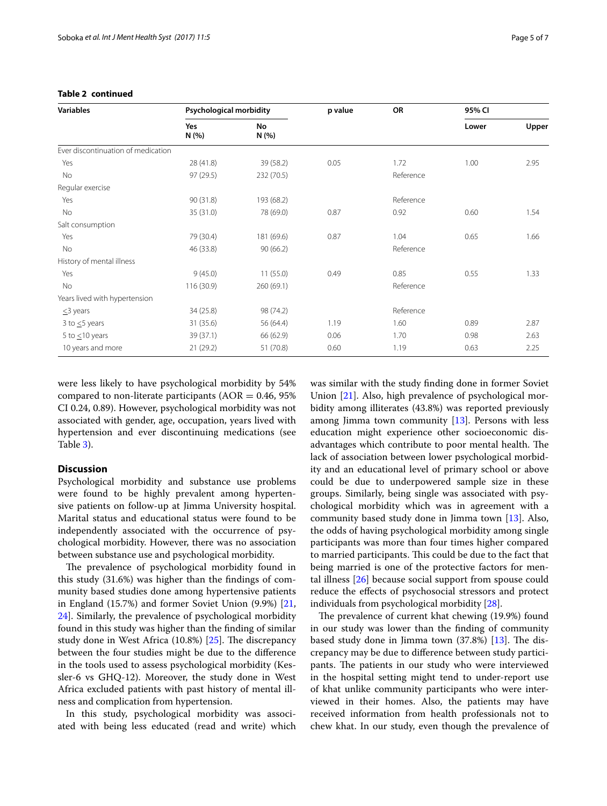| Variables                          | <b>Psychological morbidity</b> |            | p value | OR        | 95% CI |       |
|------------------------------------|--------------------------------|------------|---------|-----------|--------|-------|
|                                    | Yes<br>N(%                     | No<br>N(%  |         |           | Lower  | Upper |
| Ever discontinuation of medication |                                |            |         |           |        |       |
| Yes                                | 28 (41.8)                      | 39 (58.2)  | 0.05    | 1.72      | 1.00   | 2.95  |
| No                                 | 97 (29.5)                      | 232 (70.5) |         | Reference |        |       |
| Regular exercise                   |                                |            |         |           |        |       |
| Yes                                | 90 (31.8)                      | 193 (68.2) |         | Reference |        |       |
| No                                 | 35 (31.0)                      | 78 (69.0)  | 0.87    | 0.92      | 0.60   | 1.54  |
| Salt consumption                   |                                |            |         |           |        |       |
| Yes                                | 79 (30.4)                      | 181 (69.6) | 0.87    | 1.04      | 0.65   | 1.66  |
| No                                 | 46 (33.8)                      | 90(66.2)   |         | Reference |        |       |
| History of mental illness          |                                |            |         |           |        |       |
| Yes                                | 9(45.0)                        | 11(55.0)   | 0.49    | 0.85      | 0.55   | 1.33  |
| No                                 | 116 (30.9)                     | 260 (69.1) |         | Reference |        |       |
| Years lived with hypertension      |                                |            |         |           |        |       |
| $\leq$ 3 years                     | 34 (25.8)                      | 98 (74.2)  |         | Reference |        |       |
| 3 to $\leq$ 5 years                | 31 (35.6)                      | 56 (64.4)  | 1.19    | 1.60      | 0.89   | 2.87  |
| 5 to $\leq$ 10 years               | 39 (37.1)                      | 66 (62.9)  | 0.06    | 1.70      | 0.98   | 2.63  |
| 10 years and more                  | 21 (29.2)                      | 51 (70.8)  | 0.60    | 1.19      | 0.63   | 2.25  |

## **Table 2 continued**

were less likely to have psychological morbidity by 54% compared to non-literate participants ( $AOR = 0.46$ , 95%) CI 0.24, 0.89). However, psychological morbidity was not associated with gender, age, occupation, years lived with hypertension and ever discontinuing medications (see Table [3](#page-5-0)).

## **Discussion**

Psychological morbidity and substance use problems were found to be highly prevalent among hypertensive patients on follow-up at Jimma University hospital. Marital status and educational status were found to be independently associated with the occurrence of psychological morbidity. However, there was no association between substance use and psychological morbidity.

The prevalence of psychological morbidity found in this study (31.6%) was higher than the findings of community based studies done among hypertensive patients in England (15.7%) and former Soviet Union (9.9%) [\[21](#page-6-18), [24\]](#page-6-19). Similarly, the prevalence of psychological morbidity found in this study was higher than the finding of similar study done in West Africa (10.8%) [[25\]](#page-6-20). The discrepancy between the four studies might be due to the difference in the tools used to assess psychological morbidity (Kessler-6 vs GHQ-12). Moreover, the study done in West Africa excluded patients with past history of mental illness and complication from hypertension.

In this study, psychological morbidity was associated with being less educated (read and write) which

was similar with the study finding done in former Soviet Union [[21\]](#page-6-18). Also, high prevalence of psychological morbidity among illiterates (43.8%) was reported previously among Jimma town community  $[13]$  $[13]$ . Persons with less education might experience other socioeconomic disadvantages which contribute to poor mental health. The lack of association between lower psychological morbidity and an educational level of primary school or above could be due to underpowered sample size in these groups. Similarly, being single was associated with psychological morbidity which was in agreement with a community based study done in Jimma town [\[13](#page-6-21)]. Also, the odds of having psychological morbidity among single participants was more than four times higher compared to married participants. This could be due to the fact that being married is one of the protective factors for mental illness [\[26](#page-6-22)] because social support from spouse could reduce the effects of psychosocial stressors and protect individuals from psychological morbidity [[28\]](#page-6-23).

The prevalence of current khat chewing (19.9%) found in our study was lower than the finding of community based study done in Jimma town (37.8%) [\[13\]](#page-6-21). The discrepancy may be due to difference between study participants. The patients in our study who were interviewed in the hospital setting might tend to under-report use of khat unlike community participants who were interviewed in their homes. Also, the patients may have received information from health professionals not to chew khat. In our study, even though the prevalence of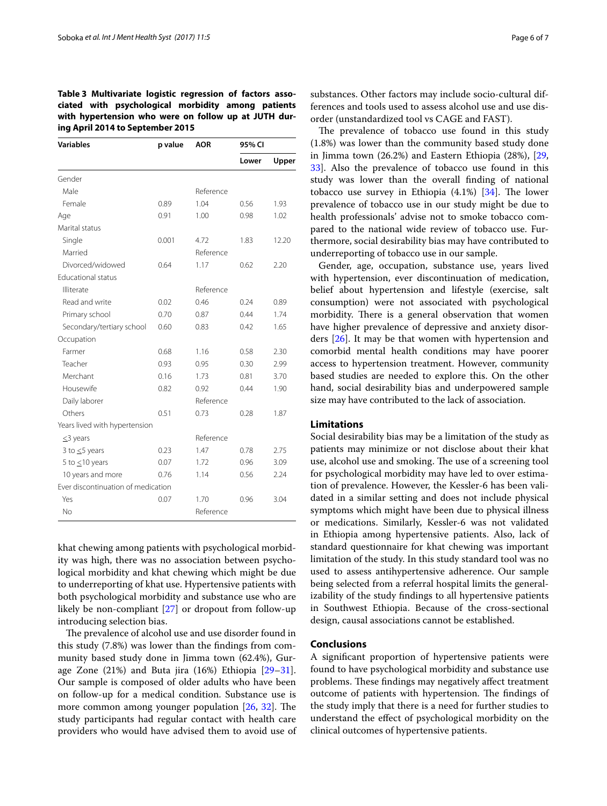<span id="page-5-0"></span>**Table 3 Multivariate logistic regression of factors associated with psychological morbidity among patients with hypertension who were on follow up at JUTH during April 2014 to September 2015**

| <b>Variables</b>                   | p value | <b>AOR</b> | 95% CI |       |
|------------------------------------|---------|------------|--------|-------|
|                                    |         |            | Lower  | Upper |
| Gender                             |         |            |        |       |
| Male                               |         | Reference  |        |       |
| Female                             | 0.89    | 1.04       | 0.56   | 1.93  |
| Age                                | 0.91    | 1.00       | 0.98   | 1.02  |
| Marital status                     |         |            |        |       |
| Single                             | 0.001   | 4.72       | 1.83   | 12.20 |
| Married                            |         | Reference  |        |       |
| Divorced/widowed                   | 0.64    | 1.17       | 0.62   | 2.20  |
| <b>Educational status</b>          |         |            |        |       |
| Illiterate                         |         | Reference  |        |       |
| Read and write                     | 0.02    | 0.46       | 0.24   | 0.89  |
| Primary school                     | 0.70    | 0.87       | 0.44   | 1.74  |
| Secondary/tertiary school          | 0.60    | 0.83       | 0.42   | 1.65  |
| Occupation                         |         |            |        |       |
| Farmer                             | 0.68    | 1.16       | 0.58   | 2.30  |
| Teacher                            | 0.93    | 0.95       | 0.30   | 2.99  |
| Merchant                           | 0.16    | 1.73       | 0.81   | 3.70  |
| Housewife                          | 0.82    | 0.92       | 0.44   | 1.90  |
| Daily laborer                      |         | Reference  |        |       |
| Others                             | 0.51    | 0.73       | 0.28   | 1.87  |
| Years lived with hypertension      |         |            |        |       |
| $\leq$ 3 years                     |         | Reference  |        |       |
| 3 to $\leq$ 5 years                | 0.23    | 1.47       | 0.78   | 2.75  |
| 5 to $\leq$ 10 years               | 0.07    | 1.72       | 0.96   | 3.09  |
| 10 years and more                  | 0.76    | 1.14       | 0.56   | 2.24  |
| Ever discontinuation of medication |         |            |        |       |
| Yes                                | 0.07    | 1.70       | 0.96   | 3.04  |
| <b>No</b>                          |         | Reference  |        |       |

khat chewing among patients with psychological morbidity was high, there was no association between psychological morbidity and khat chewing which might be due to underreporting of khat use. Hypertensive patients with both psychological morbidity and substance use who are likely be non-compliant [\[27\]](#page-6-24) or dropout from follow-up introducing selection bias.

The prevalence of alcohol use and use disorder found in this study (7.8%) was lower than the findings from community based study done in Jimma town (62.4%), Gurage Zone  $(21%)$  and Buta jira  $(16%)$  Ethiopia  $[29-31]$  $[29-31]$  $[29-31]$ . Our sample is composed of older adults who have been on follow-up for a medical condition. Substance use is more common among younger population [\[26,](#page-6-22) [32](#page-6-27)]. The study participants had regular contact with health care providers who would have advised them to avoid use of

substances. Other factors may include socio-cultural differences and tools used to assess alcohol use and use disorder (unstandardized tool vs CAGE and FAST).

The prevalence of tobacco use found in this study (1.8%) was lower than the community based study done in Jimma town (26.2%) and Eastern Ethiopia (28%), [[29](#page-6-25), [33\]](#page-6-28). Also the prevalence of tobacco use found in this study was lower than the overall finding of national tobacco use survey in Ethiopia  $(4.1\%)$  [[34\]](#page-6-29). The lower prevalence of tobacco use in our study might be due to health professionals' advise not to smoke tobacco compared to the national wide review of tobacco use. Furthermore, social desirability bias may have contributed to underreporting of tobacco use in our sample.

Gender, age, occupation, substance use, years lived with hypertension, ever discontinuation of medication, belief about hypertension and lifestyle (exercise, salt consumption) were not associated with psychological morbidity. There is a general observation that women have higher prevalence of depressive and anxiety disorders [[26\]](#page-6-22). It may be that women with hypertension and comorbid mental health conditions may have poorer access to hypertension treatment. However, community based studies are needed to explore this. On the other hand, social desirability bias and underpowered sample size may have contributed to the lack of association.

## **Limitations**

Social desirability bias may be a limitation of the study as patients may minimize or not disclose about their khat use, alcohol use and smoking. The use of a screening tool for psychological morbidity may have led to over estimation of prevalence. However, the Kessler-6 has been validated in a similar setting and does not include physical symptoms which might have been due to physical illness or medications. Similarly, Kessler-6 was not validated in Ethiopia among hypertensive patients. Also, lack of standard questionnaire for khat chewing was important limitation of the study. In this study standard tool was no used to assess antihypertensive adherence. Our sample being selected from a referral hospital limits the generalizability of the study findings to all hypertensive patients in Southwest Ethiopia. Because of the cross-sectional design, causal associations cannot be established.

## **Conclusions**

A significant proportion of hypertensive patients were found to have psychological morbidity and substance use problems. These findings may negatively affect treatment outcome of patients with hypertension. The findings of the study imply that there is a need for further studies to understand the effect of psychological morbidity on the clinical outcomes of hypertensive patients.